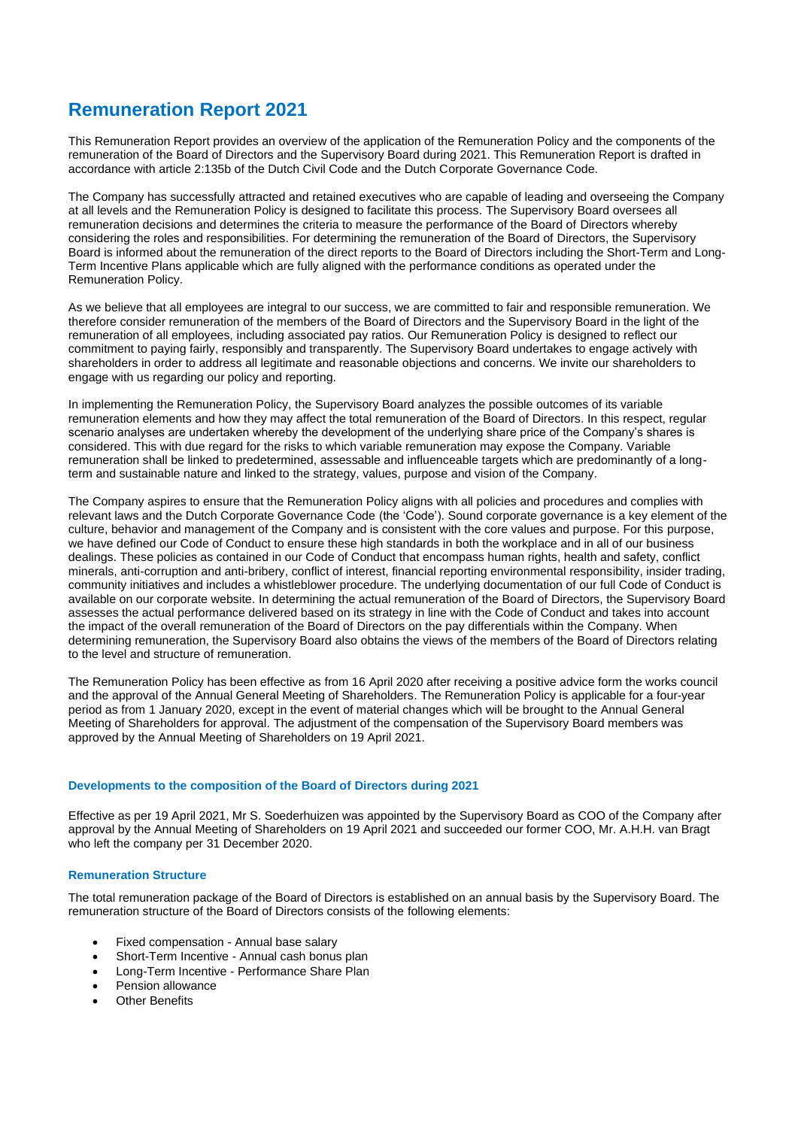# **Remuneration Report 2021**

This Remuneration Report provides an overview of the application of the Remuneration Policy and the components of the remuneration of the Board of Directors and the Supervisory Board during 2021. This Remuneration Report is drafted in accordance with article 2:135b of the Dutch Civil Code and the Dutch Corporate Governance Code.

The Company has successfully attracted and retained executives who are capable of leading and overseeing the Company at all levels and the Remuneration Policy is designed to facilitate this process. The Supervisory Board oversees all remuneration decisions and determines the criteria to measure the performance of the Board of Directors whereby considering the roles and responsibilities. For determining the remuneration of the Board of Directors, the Supervisory Board is informed about the remuneration of the direct reports to the Board of Directors including the Short-Term and Long-Term Incentive Plans applicable which are fully aligned with the performance conditions as operated under the Remuneration Policy.

As we believe that all employees are integral to our success, we are committed to fair and responsible remuneration. We therefore consider remuneration of the members of the Board of Directors and the Supervisory Board in the light of the remuneration of all employees, including associated pay ratios. Our Remuneration Policy is designed to reflect our commitment to paying fairly, responsibly and transparently. The Supervisory Board undertakes to engage actively with shareholders in order to address all legitimate and reasonable objections and concerns. We invite our shareholders to engage with us regarding our policy and reporting.

In implementing the Remuneration Policy, the Supervisory Board analyzes the possible outcomes of its variable remuneration elements and how they may affect the total remuneration of the Board of Directors. In this respect, regular scenario analyses are undertaken whereby the development of the underlying share price of the Company's shares is considered. This with due regard for the risks to which variable remuneration may expose the Company. Variable remuneration shall be linked to predetermined, assessable and influenceable targets which are predominantly of a longterm and sustainable nature and linked to the strategy, values, purpose and vision of the Company.

The Company aspires to ensure that the Remuneration Policy aligns with all policies and procedures and complies with relevant laws and the Dutch Corporate Governance Code (the 'Code'). Sound corporate governance is a key element of the culture, behavior and management of the Company and is consistent with the core values and purpose. For this purpose, we have defined our Code of Conduct to ensure these high standards in both the workplace and in all of our business dealings. These policies as contained in our Code of Conduct that encompass human rights, health and safety, conflict minerals, anti-corruption and anti-bribery, conflict of interest, financial reporting environmental responsibility, insider trading, community initiatives and includes a whistleblower procedure. The underlying documentation of our full Code of Conduct is available on our corporate website. In determining the actual remuneration of the Board of Directors, the Supervisory Board assesses the actual performance delivered based on its strategy in line with the Code of Conduct and takes into account the impact of the overall remuneration of the Board of Directors on the pay differentials within the Company. When determining remuneration, the Supervisory Board also obtains the views of the members of the Board of Directors relating to the level and structure of remuneration.

The Remuneration Policy has been effective as from 16 April 2020 after receiving a positive advice form the works council and the approval of the Annual General Meeting of Shareholders. The Remuneration Policy is applicable for a four-year period as from 1 January 2020, except in the event of material changes which will be brought to the Annual General Meeting of Shareholders for approval. The adjustment of the compensation of the Supervisory Board members was approved by the Annual Meeting of Shareholders on 19 April 2021.

## **Developments to the composition of the Board of Directors during 2021**

Effective as per 19 April 2021, Mr S. Soederhuizen was appointed by the Supervisory Board as COO of the Company after approval by the Annual Meeting of Shareholders on 19 April 2021 and succeeded our former COO, Mr. A.H.H. van Bragt who left the company per 31 December 2020.

# **Remuneration Structure**

The total remuneration package of the Board of Directors is established on an annual basis by the Supervisory Board. The remuneration structure of the Board of Directors consists of the following elements:

- Fixed compensation Annual base salary
- Short-Term Incentive Annual cash bonus plan
- Long-Term Incentive Performance Share Plan
- Pension allowance
- **Other Benefits**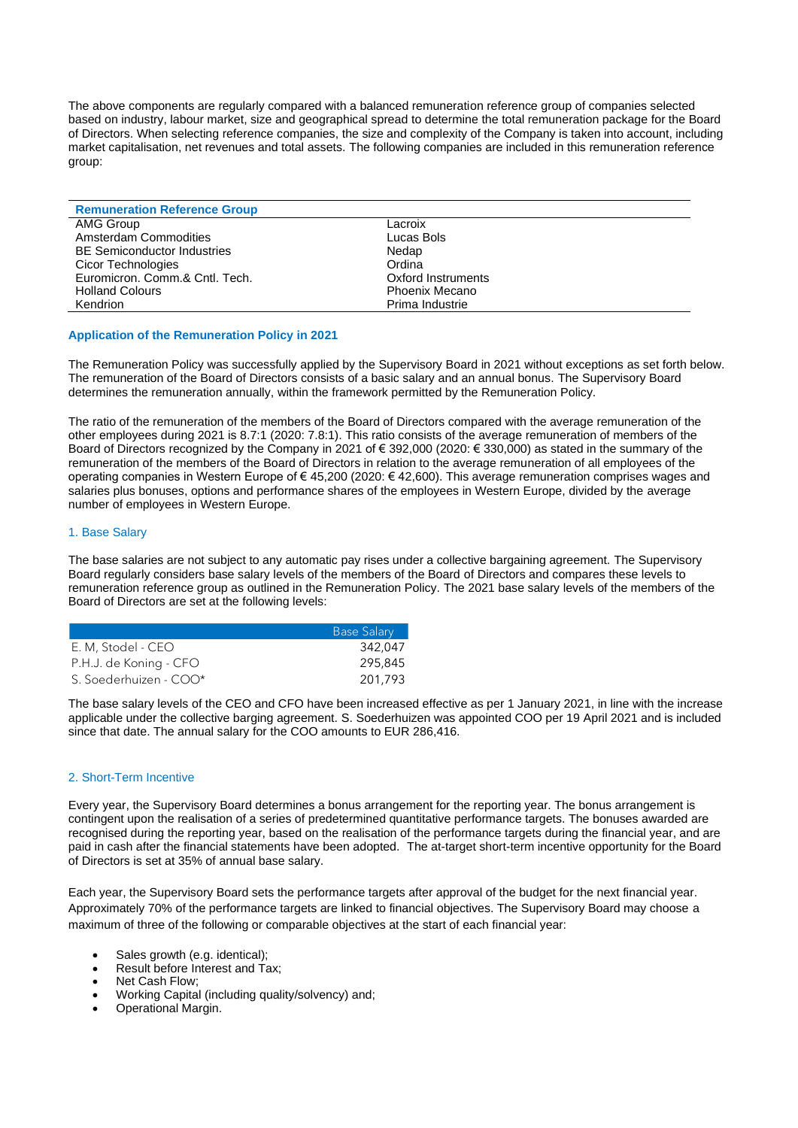The above components are regularly compared with a balanced remuneration reference group of companies selected based on industry, labour market, size and geographical spread to determine the total remuneration package for the Board of Directors. When selecting reference companies, the size and complexity of the Company is taken into account, including market capitalisation, net revenues and total assets. The following companies are included in this remuneration reference group:

| <b>Remuneration Reference Group</b> |                    |
|-------------------------------------|--------------------|
| AMG Group                           | Lacroix            |
| Amsterdam Commodities               | Lucas Bols         |
| <b>BE Semiconductor Industries</b>  | Nedap              |
| Cicor Technologies                  | Ordina             |
| Euromicron, Comm.& Cntl. Tech.      | Oxford Instruments |
| <b>Holland Colours</b>              | Phoenix Mecano     |
| Kendrion                            | Prima Industrie    |

## **Application of the Remuneration Policy in 2021**

The Remuneration Policy was successfully applied by the Supervisory Board in 2021 without exceptions as set forth below. The remuneration of the Board of Directors consists of a basic salary and an annual bonus. The Supervisory Board determines the remuneration annually, within the framework permitted by the Remuneration Policy.

The ratio of the remuneration of the members of the Board of Directors compared with the average remuneration of the other employees during 2021 is 8.7:1 (2020: 7.8:1). This ratio consists of the average remuneration of members of the Board of Directors recognized by the Company in 2021 of € 392,000 (2020: € 330,000) as stated in the summary of the remuneration of the members of the Board of Directors in relation to the average remuneration of all employees of the operating companies in Western Europe of € 45,200 (2020: € 42,600). This average remuneration comprises wages and salaries plus bonuses, options and performance shares of the employees in Western Europe, divided by the average number of employees in Western Europe.

## 1. Base Salary

The base salaries are not subject to any automatic pay rises under a collective bargaining agreement. The Supervisory Board regularly considers base salary levels of the members of the Board of Directors and compares these levels to remuneration reference group as outlined in the Remuneration Policy. The 2021 base salary levels of the members of the Board of Directors are set at the following levels:

|                        | <b>Base Salary</b> |
|------------------------|--------------------|
| E. M, Stodel - CEO     | 342.047            |
| P.H.J. de Koning - CFO | 295,845            |
| S. Soederhuizen - COO* | 201,793            |

The base salary levels of the CEO and CFO have been increased effective as per 1 January 2021, in line with the increase applicable under the collective barging agreement. S. Soederhuizen was appointed COO per 19 April 2021 and is included since that date. The annual salary for the COO amounts to EUR 286,416.

## 2. Short-Term Incentive

Every year, the Supervisory Board determines a bonus arrangement for the reporting year. The bonus arrangement is contingent upon the realisation of a series of predetermined quantitative performance targets. The bonuses awarded are recognised during the reporting year, based on the realisation of the performance targets during the financial year, and are paid in cash after the financial statements have been adopted. The at-target short-term incentive opportunity for the Board of Directors is set at 35% of annual base salary.

Each year, the Supervisory Board sets the performance targets after approval of the budget for the next financial year. Approximately 70% of the performance targets are linked to financial objectives. The Supervisory Board may choose a maximum of three of the following or comparable objectives at the start of each financial year:

- Sales growth (e.g. identical);
- Result before Interest and Tax;
- Net Cash Flow:
- Working Capital (including quality/solvency) and;
- Operational Margin.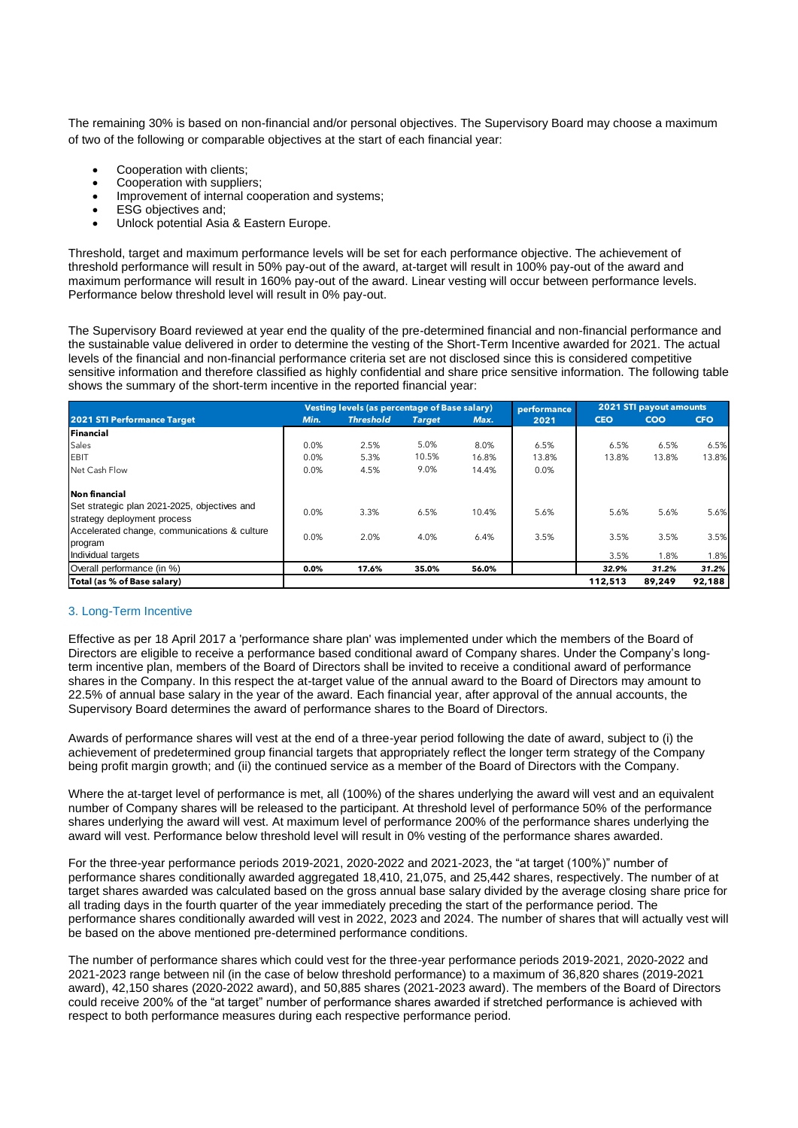The remaining 30% is based on non-financial and/or personal objectives. The Supervisory Board may choose a maximum of two of the following or comparable objectives at the start of each financial year:

- Cooperation with clients;
- Cooperation with suppliers;
- Improvement of internal cooperation and systems;
- ESG objectives and;
- Unlock potential Asia & Eastern Europe.

Threshold, target and maximum performance levels will be set for each performance objective. The achievement of threshold performance will result in 50% pay-out of the award, at-target will result in 100% pay-out of the award and maximum performance will result in 160% pay-out of the award. Linear vesting will occur between performance levels. Performance below threshold level will result in 0% pay-out.

The Supervisory Board reviewed at year end the quality of the pre-determined financial and non-financial performance and the sustainable value delivered in order to determine the vesting of the Short-Term Incentive awarded for 2021. The actual levels of the financial and non-financial performance criteria set are not disclosed since this is considered competitive sensitive information and therefore classified as highly confidential and share price sensitive information. The following table shows the summary of the short-term incentive in the reported financial year:

|                                              |         | <b>Vesting levels (as percentage of Base salary)</b> |               |       | performance |            | 2021 STI payout amounts |            |
|----------------------------------------------|---------|------------------------------------------------------|---------------|-------|-------------|------------|-------------------------|------------|
| <b>2021 STI Performance Target</b>           | Min.    | <b>Threshold</b>                                     | <b>Target</b> | Max.  | 2021        | <b>CEO</b> | COO                     | <b>CFO</b> |
| Financial                                    |         |                                                      |               |       |             |            |                         |            |
| Sales                                        | 0.0%    | 2.5%                                                 | 5.0%          | 8.0%  | 6.5%        | 6.5%       | 6.5%                    | 6.5%       |
| <b>EBIT</b>                                  | 0.0%    | 5.3%                                                 | 10.5%         | 16.8% | 13.8%       | 13.8%      | 13.8%                   | 13.8%      |
| Net Cash Flow                                | 0.0%    | 4.5%                                                 | 9.0%          | 14.4% | 0.0%        |            |                         |            |
| Non financial                                |         |                                                      |               |       |             |            |                         |            |
| Set strategic plan 2021-2025, objectives and |         |                                                      |               |       |             |            |                         |            |
| strategy deployment process                  | 0.0%    | 3.3%                                                 | 6.5%          | 10.4% | 5.6%        | 5.6%       | 5.6%                    | 5.6%       |
| Accelerated change, communications & culture | 0.0%    | 2.0%                                                 | 4.0%          | 6.4%  | 3.5%        | 3.5%       | 3.5%                    | 3.5%       |
| program                                      |         |                                                      |               |       |             |            |                         |            |
| Individual targets                           |         |                                                      |               |       |             | 3.5%       | 1.8%                    | 1.8%       |
| Overall performance (in %)                   | $0.0\%$ | 17.6%                                                | 35.0%         | 56.0% |             | 32.9%      | 31.2%                   | 31.2%      |
| Total (as % of Base salary)                  |         |                                                      |               |       |             | 112,513    | 89,249                  | 92,188     |

## 3. Long-Term Incentive

Effective as per 18 April 2017 a 'performance share plan' was implemented under which the members of the Board of Directors are eligible to receive a performance based conditional award of Company shares. Under the Company's longterm incentive plan, members of the Board of Directors shall be invited to receive a conditional award of performance shares in the Company. In this respect the at-target value of the annual award to the Board of Directors may amount to 22.5% of annual base salary in the year of the award. Each financial year, after approval of the annual accounts, the Supervisory Board determines the award of performance shares to the Board of Directors.

Awards of performance shares will vest at the end of a three-year period following the date of award, subject to (i) the achievement of predetermined group financial targets that appropriately reflect the longer term strategy of the Company being profit margin growth; and (ii) the continued service as a member of the Board of Directors with the Company.

Where the at-target level of performance is met, all (100%) of the shares underlying the award will vest and an equivalent number of Company shares will be released to the participant. At threshold level of performance 50% of the performance shares underlying the award will vest. At maximum level of performance 200% of the performance shares underlying the award will vest. Performance below threshold level will result in 0% vesting of the performance shares awarded.

For the three-year performance periods 2019-2021, 2020-2022 and 2021-2023, the "at target (100%)" number of performance shares conditionally awarded aggregated 18,410, 21,075, and 25,442 shares, respectively. The number of at target shares awarded was calculated based on the gross annual base salary divided by the average closing share price for all trading days in the fourth quarter of the year immediately preceding the start of the performance period. The performance shares conditionally awarded will vest in 2022, 2023 and 2024. The number of shares that will actually vest will be based on the above mentioned pre-determined performance conditions.

The number of performance shares which could vest for the three-year performance periods 2019-2021, 2020-2022 and 2021-2023 range between nil (in the case of below threshold performance) to a maximum of 36,820 shares (2019-2021 award), 42,150 shares (2020-2022 award), and 50,885 shares (2021-2023 award). The members of the Board of Directors could receive 200% of the "at target" number of performance shares awarded if stretched performance is achieved with respect to both performance measures during each respective performance period.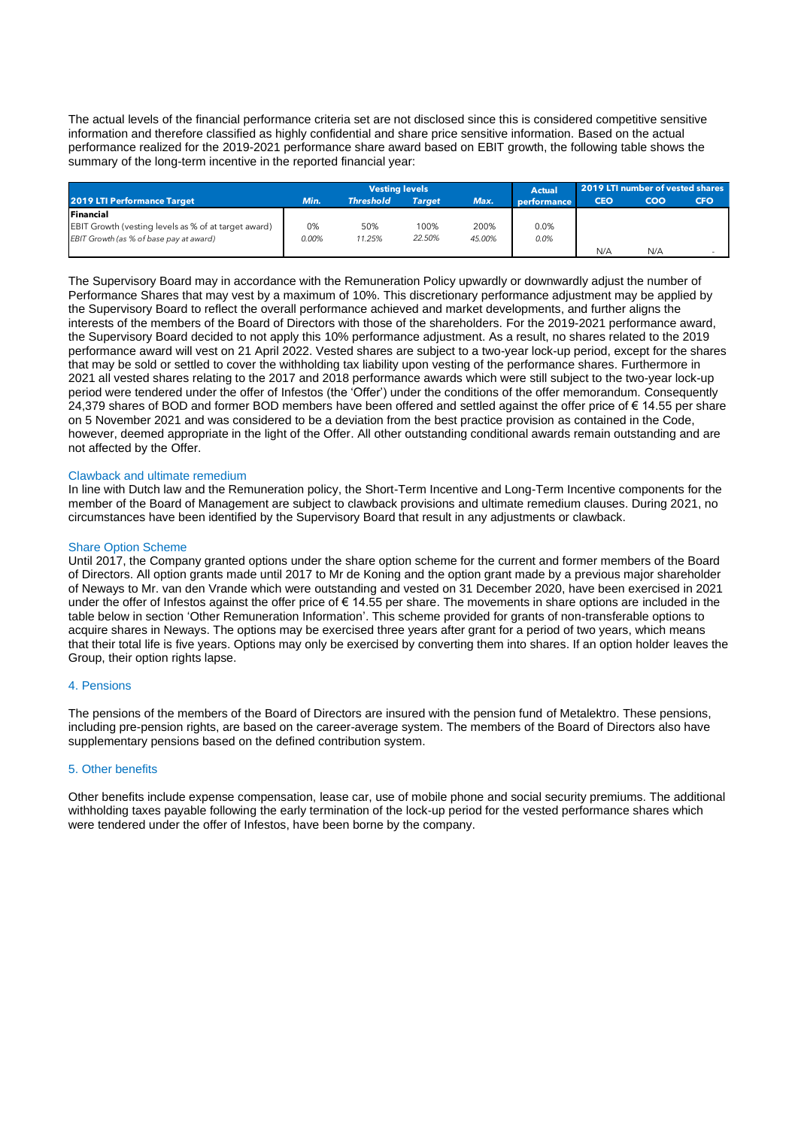The actual levels of the financial performance criteria set are not disclosed since this is considered competitive sensitive information and therefore classified as highly confidential and share price sensitive information. Based on the actual performance realized for the 2019-2021 performance share award based on EBIT growth, the following table shows the summary of the long-term incentive in the reported financial year:

|                                                             |          | <b>Vesting levels</b>             |        |        | <b>Actual</b> | 2019 LTI number of vested shares |            |            |
|-------------------------------------------------------------|----------|-----------------------------------|--------|--------|---------------|----------------------------------|------------|------------|
| <b>2019 LTI Performance Target</b>                          | Min.     | <b>Threshold</b><br><b>Target</b> |        | Max.   | performance   | <b>CEO</b>                       | <b>COO</b> | <b>CFO</b> |
| <b>Financial</b>                                            |          |                                   |        |        |               |                                  |            |            |
| <b>EBIT Growth (vesting levels as % of at target award)</b> | 0%       | 50%                               | 100%   | 200%   | 0.0%          |                                  |            |            |
| EBIT Growth (as % of base pay at award)                     | $0.00\%$ | 11.25%                            | 22.50% | 45.00% | 0.0%          |                                  |            |            |
|                                                             |          |                                   |        |        |               | N/A                              | N/A        |            |

The Supervisory Board may in accordance with the Remuneration Policy upwardly or downwardly adjust the number of Performance Shares that may vest by a maximum of 10%. This discretionary performance adjustment may be applied by the Supervisory Board to reflect the overall performance achieved and market developments, and further aligns the interests of the members of the Board of Directors with those of the shareholders. For the 2019-2021 performance award, the Supervisory Board decided to not apply this 10% performance adjustment. As a result, no shares related to the 2019 performance award will vest on 21 April 2022. Vested shares are subject to a two-year lock-up period, except for the shares that may be sold or settled to cover the withholding tax liability upon vesting of the performance shares. Furthermore in 2021 all vested shares relating to the 2017 and 2018 performance awards which were still subject to the two-year lock-up period were tendered under the offer of Infestos (the 'Offer') under the conditions of the offer memorandum. Consequently 24,379 shares of BOD and former BOD members have been offered and settled against the offer price of € 14.55 per share on 5 November 2021 and was considered to be a deviation from the best practice provision as contained in the Code, however, deemed appropriate in the light of the Offer. All other outstanding conditional awards remain outstanding and are not affected by the Offer.

#### Clawback and ultimate remedium

In line with Dutch law and the Remuneration policy, the Short-Term Incentive and Long-Term Incentive components for the member of the Board of Management are subject to clawback provisions and ultimate remedium clauses. During 2021, no circumstances have been identified by the Supervisory Board that result in any adjustments or clawback.

#### Share Option Scheme

Until 2017, the Company granted options under the share option scheme for the current and former members of the Board of Directors. All option grants made until 2017 to Mr de Koning and the option grant made by a previous major shareholder of Neways to Mr. van den Vrande which were outstanding and vested on 31 December 2020, have been exercised in 2021 under the offer of Infestos against the offer price of  $\in 14.55$  per share. The movements in share options are included in the table below in section 'Other Remuneration Information'. This scheme provided for grants of non-transferable options to acquire shares in Neways. The options may be exercised three years after grant for a period of two years, which means that their total life is five years. Options may only be exercised by converting them into shares. If an option holder leaves the Group, their option rights lapse.

## 4. Pensions

The pensions of the members of the Board of Directors are insured with the pension fund of Metalektro. These pensions, including pre-pension rights, are based on the career-average system. The members of the Board of Directors also have supplementary pensions based on the defined contribution system.

#### 5. Other benefits

Other benefits include expense compensation, lease car, use of mobile phone and social security premiums. The additional withholding taxes payable following the early termination of the lock-up period for the vested performance shares which were tendered under the offer of Infestos, have been borne by the company.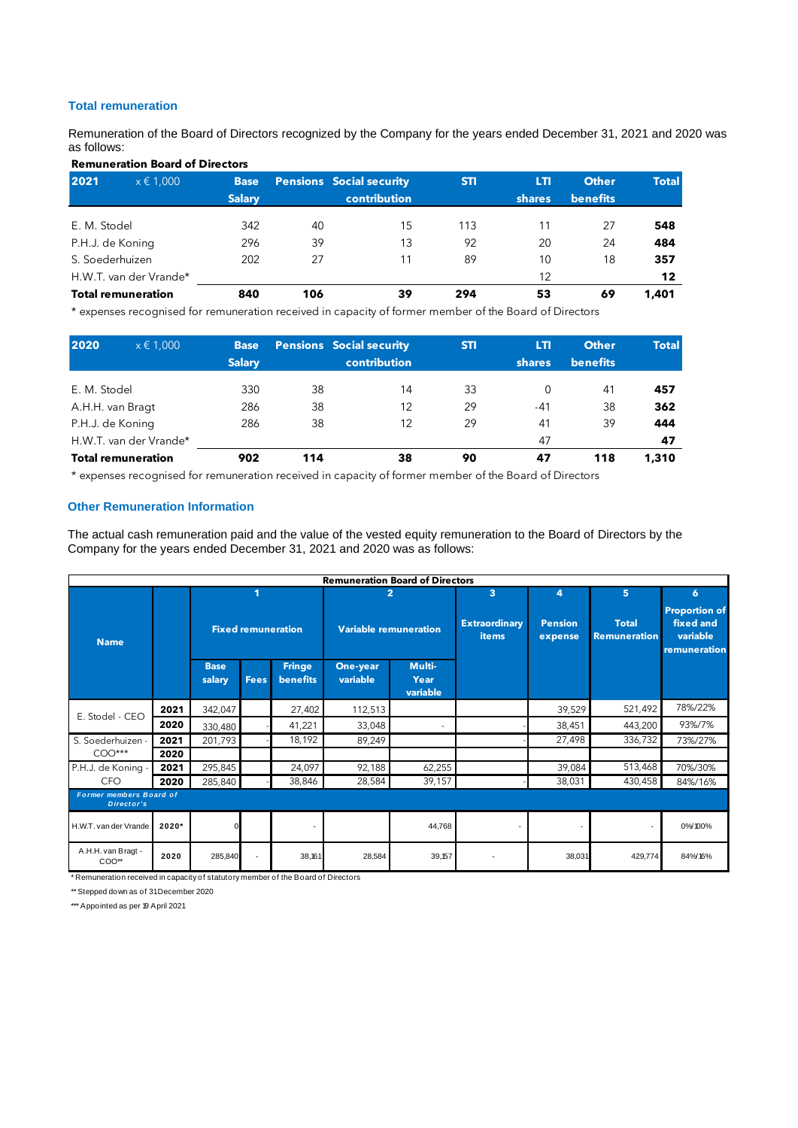# **Total remuneration**

Remuneration of the Board of Directors recognized by the Company for the years ended December 31, 2021 and 2020 was as follows:

| <b>Remuneration Board of Directors</b> |               |               |     |                                 |            |               |                 |              |  |  |  |  |
|----------------------------------------|---------------|---------------|-----|---------------------------------|------------|---------------|-----------------|--------------|--|--|--|--|
| 2021                                   | $x \in 1,000$ | <b>Base</b>   |     | <b>Pensions Social security</b> | <b>STI</b> | LTI           | <b>Other</b>    | <b>Total</b> |  |  |  |  |
|                                        |               | <b>Salary</b> |     | <b>contribution</b>             |            | <b>shares</b> | <b>benefits</b> |              |  |  |  |  |
| E. M. Stodel                           |               | 342           | 40  | 15                              | 113        | 11            | 27              | 548          |  |  |  |  |
| P.H.J. de Koning                       |               | 296           | 39  | 13                              | 92         | 20            | 24              | 484          |  |  |  |  |
| S. Soederhuizen                        |               | 202           | 27  | 11                              | 89         | 10            | 18              | 357          |  |  |  |  |
| H.W.T. van der Vrande*                 |               |               |     |                                 |            | 12            |                 | 12           |  |  |  |  |
| <b>Total remuneration</b>              |               | 840           | 106 | 39                              | 294        | 53            | 69              | 1,401        |  |  |  |  |

\* expenses recognised for remuneration received in capacity of former member of the Board of Directors

| 2020                      | $x \in 1,000$ | <b>Base</b><br><b>Salary</b> |     | <b>Pensions</b> Social security<br><b>contribution</b> | <b>STI</b> | LTI<br><b>shares</b> | <b>Other</b><br><b>benefits</b> | <b>Total</b> |
|---------------------------|---------------|------------------------------|-----|--------------------------------------------------------|------------|----------------------|---------------------------------|--------------|
| E. M. Stodel              |               | 330                          | 38  | 14                                                     | 33         | 0                    | 41                              | 457          |
| A.H.H. van Bragt          |               | 286                          | 38  | 12                                                     | 29         | $-41$                | 38                              | 362          |
| P.H.J. de Koning          |               | 286                          | 38  | 12                                                     | 29         | 41                   | 39                              | 444          |
| H.W.T. van der Vrande*    |               |                              |     |                                                        |            | 47                   |                                 | 47           |
| <b>Total remuneration</b> |               | 902                          | 114 | 38                                                     | 90         | 47                   | 118                             | 1,310        |

\* expenses recognised for remuneration received in capacity of former member of the Board of Directors

#### **Other Remuneration Information**

The actual cash remuneration paid and the value of the vested equity remuneration to the Board of Directors by the Company for the years ended December 31, 2021 and 2020 was as follows:

|                                                     | <b>Remuneration Board of Directors</b>                                                                                         |                           |        |        |                              |                |                                      |                           |                                     |                                                               |  |  |
|-----------------------------------------------------|--------------------------------------------------------------------------------------------------------------------------------|---------------------------|--------|--------|------------------------------|----------------|--------------------------------------|---------------------------|-------------------------------------|---------------------------------------------------------------|--|--|
|                                                     |                                                                                                                                |                           |        |        |                              | $\overline{2}$ | 3                                    | 4                         | 5                                   | 6                                                             |  |  |
| <b>Name</b>                                         |                                                                                                                                | <b>Fixed remuneration</b> |        |        | <b>Variable remuneration</b> |                | <b>Extraordinary</b><br><b>items</b> | <b>Pension</b><br>expense | <b>Total</b><br><b>Remuneration</b> | <b>Proportion of</b><br>fixed and<br>variable<br>remuneration |  |  |
|                                                     | Multi-<br><b>Fringe</b><br>One-year<br><b>Base</b><br>variable<br><b>benefits</b><br><b>Fees</b><br>Year<br>salary<br>variable |                           |        |        |                              |                |                                      |                           |                                     |                                                               |  |  |
|                                                     | 2021                                                                                                                           | 342,047                   |        | 27,402 | 112,513                      |                |                                      | 39,529                    | 521,492                             | 78%/22%                                                       |  |  |
| E. Stodel - CEO                                     | 2020                                                                                                                           | 330,480                   |        | 41,221 | 33,048                       | $\sim$         |                                      | 38,451                    | 443,200                             | 93%/7%                                                        |  |  |
| S. Soederhuizen -                                   | 2021                                                                                                                           | 201,793                   |        | 18,192 | 89,249                       |                |                                      | 27,498                    | 336,732                             | 73%/27%                                                       |  |  |
| $COO***$                                            | 2020                                                                                                                           |                           |        |        |                              |                |                                      |                           |                                     |                                                               |  |  |
| P.H.J. de Koning -                                  | 2021                                                                                                                           | 295,845                   |        | 24,097 | 92,188                       | 62,255         |                                      | 39,084                    | 513,468                             | 70%/30%                                                       |  |  |
| CFO                                                 | 2020                                                                                                                           | 285,840                   |        | 38,846 | 28,584                       | 39,157         |                                      | 38,031                    | 430,458                             | 84%/16%                                                       |  |  |
| <b>Former members Board of</b><br><b>Director's</b> |                                                                                                                                |                           |        |        |                              |                |                                      |                           |                                     |                                                               |  |  |
| H.W.T. van der Vrande                               | 2020*                                                                                                                          |                           |        |        |                              | 44,768         | $\overline{\phantom{a}}$             |                           | $\overline{\phantom{a}}$            | 0%/100%                                                       |  |  |
| A.H.H. van Bragt -<br>$COO**$                       | 2020                                                                                                                           | 285,840                   | $\sim$ | 38,161 | 28,584                       | 39,157         |                                      | 38,031                    | 429,774                             | 84%/16%                                                       |  |  |

\* Remuneration received in capacity of statutory member of the Board of Directors

\*\* Stepped down as of 31 December 2020

\*\*\* Appointed as per 19 April 2021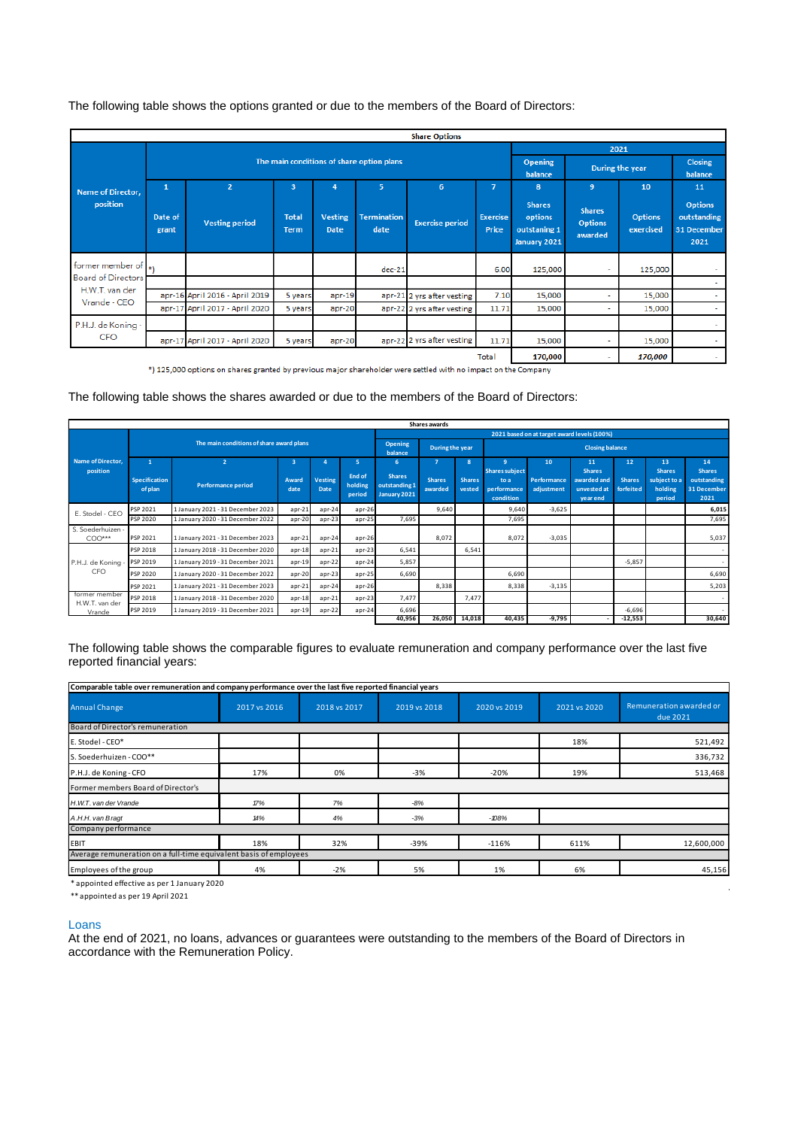The following table shows the options granted or due to the members of the Board of Directors:

|                           |                  |                                |                             |                                           |                            | <b>Share Options</b>       |                          |                                                          |                                            |                             |                                                      |
|---------------------------|------------------|--------------------------------|-----------------------------|-------------------------------------------|----------------------------|----------------------------|--------------------------|----------------------------------------------------------|--------------------------------------------|-----------------------------|------------------------------------------------------|
|                           |                  |                                |                             |                                           |                            | 2021                       |                          |                                                          |                                            |                             |                                                      |
|                           |                  |                                |                             | The main conditions of share option plans |                            | <b>Opening</b><br>balance  |                          | During the year                                          |                                            |                             |                                                      |
| Name of Director,         | $\mathbf{1}$     | $\overline{2}$                 | 3                           | $\overline{4}$                            | 5                          | 6                          | $\overline{7}$           | 8                                                        | 9                                          | 10                          | 11                                                   |
| position                  | Date of<br>grant | <b>Vesting period</b>          | <b>Total</b><br><b>Term</b> | <b>Vesting</b><br><b>Date</b>             | <b>Termination</b><br>date | <b>Exercise period</b>     | <b>Exercise</b><br>Price | <b>Shares</b><br>options<br>outstaning 1<br>January 2021 | <b>Shares</b><br><b>Options</b><br>awarded | <b>Options</b><br>exercised | <b>Options</b><br>outstanding<br>31 December<br>2021 |
| former member of  *\      |                  |                                |                             |                                           | $dec-21$                   |                            | 6.00                     | 125,000                                                  | ٠                                          | 125,000                     | <b>Section</b>                                       |
| <b>Board of Directors</b> |                  |                                |                             |                                           |                            |                            |                          |                                                          |                                            |                             | <b>Service</b>                                       |
| H.W.T. van der            |                  | apr-16 April 2016 - April 2019 | 5 years                     | $apr-19$                                  |                            | apr-21 2 yrs after vesting | 7.10                     | 15,000                                                   | ٠                                          | 15,000                      | $\sim$                                               |
| Vrande - CEO              |                  | apr-17 April 2017 - April 2020 | 5 years                     | apr-20                                    |                            | apr-22 2 yrs after vesting | 11.71                    | 15,000                                                   | ٠                                          | 15,000                      | $\sim$                                               |
| P.H.J. de Koning -        |                  |                                |                             |                                           |                            |                            |                          |                                                          |                                            |                             | $\sim$                                               |
| <b>CFO</b>                |                  | apr-17 April 2017 - April 2020 | 5 years                     | apr-20                                    |                            | apr-22 2 yrs after vesting | 11.71                    | 15,000                                                   | ÷                                          | 15,000                      | <b>Section</b>                                       |
|                           |                  |                                |                             |                                           |                            |                            | <b>Total</b>             | 170,000                                                  | ۰                                          | 170,000                     | <b>Service</b>                                       |

Total 170,0<br>(170,000 125,000 options on shares granted by previous major shareholder were settled with no impact on the Company

# The following table shows the shares awarded or due to the members of the Board of Directors:

|                                 |                          |                                          |                         |                 |                             |                                                | Shares awards            |                                              |                                                           |                           |                                                         |                            |                                                    |                                                     |
|---------------------------------|--------------------------|------------------------------------------|-------------------------|-----------------|-----------------------------|------------------------------------------------|--------------------------|----------------------------------------------|-----------------------------------------------------------|---------------------------|---------------------------------------------------------|----------------------------|----------------------------------------------------|-----------------------------------------------------|
|                                 |                          |                                          |                         |                 |                             |                                                |                          | 2021 based on at target award levels (100%)  |                                                           |                           |                                                         |                            |                                                    |                                                     |
|                                 |                          | The main conditions of share award plans |                         |                 |                             |                                                |                          | <b>Opening</b><br>During the year<br>balance |                                                           |                           | <b>Closing balance</b>                                  |                            |                                                    |                                                     |
| Name of Director,               | $\overline{2}$           |                                          | $\overline{\mathbf{3}}$ |                 | 5                           | 6                                              | -7                       | 8 <sup>°</sup>                               | 9                                                         | 10                        | 11                                                      | 12                         | 13                                                 | 14                                                  |
| position                        | Specification<br>of plan | <b>Performance period</b>                | Award<br>date           | Vesting<br>Date | End of<br>holding<br>period | <b>Shares</b><br>outstanding 1<br>January 2021 | <b>Shares</b><br>awarded | <b>Shares</b><br>vested                      | <b>Shares subject</b><br>to a<br>performance<br>condition | Performance<br>adjustment | <b>Shares</b><br>awarded and<br>unvested at<br>vear end | <b>Shares</b><br>forfeited | <b>Shares</b><br>subject to a<br>holding<br>period | <b>Shares</b><br>outstanding<br>31 December<br>2021 |
|                                 | PSP 2021                 | 1 January 2021 - 31 December 2023        | $apr-21$                | $apr-24$        | $apr-26$                    |                                                | 9,640                    |                                              | 9,640                                                     | $-3,625$                  |                                                         |                            |                                                    | 6,015                                               |
| E. Stodel - CEO                 | PSP 2020                 | 1 January 2020 - 31 December 2022        | $apr-20$                | $apr-23$        | apr-25                      | 7,695                                          |                          |                                              | 7,695                                                     |                           |                                                         |                            |                                                    | 7,695                                               |
| S. Soederhuizen -<br>$COO***$   | PSP 2021                 | 1 January 2021 - 31 December 2023        | $apr-21$                | $apr-24$        | $apr-26$                    |                                                | 8,072                    |                                              | 8,072                                                     | $-3,035$                  |                                                         |                            |                                                    | 5,037                                               |
|                                 | PSP 2018                 | 1 January 2018 - 31 December 2020        | $apr-18$                | $apr-21$        | $apr-23$                    | 6,541                                          |                          | 6,541                                        |                                                           |                           |                                                         |                            |                                                    |                                                     |
| P.H.J. de Koning                | PSP 2019                 | 1 January 2019 - 31 December 2021        | $apr-19$                | apr-22          | $apr-24$                    | 5,857                                          |                          |                                              |                                                           |                           |                                                         | $-5,857$                   |                                                    |                                                     |
| CFO.                            | PSP 2020                 | 1 January 2020 - 31 December 2022        | $apr-20$                | $apr-23$        | $apr-25$                    | 6,690                                          |                          |                                              | 6,690                                                     |                           |                                                         |                            |                                                    | 6,690                                               |
|                                 | PSP 2021                 | 1 January 2021 - 31 December 2023        | $apr-21$                | apr-24          | $apr-26$                    |                                                | 8,338                    |                                              | 8,338                                                     | $-3,135$                  |                                                         |                            |                                                    | 5,203                                               |
| former member<br>H.W.T. van der | PSP 2018                 | 1 January 2018 - 31 December 2020        | $apr-18$                | $apr-21$        | $apr-23$                    | 7,477                                          |                          | 7,477                                        |                                                           |                           |                                                         |                            |                                                    |                                                     |
| Vrande                          | PSP 2019                 | 1 January 2019 - 31 December 2021        | $apr-19$                | apr-22          | apr-24                      | 6,696                                          |                          |                                              |                                                           |                           |                                                         | $-6,696$                   |                                                    |                                                     |
|                                 |                          |                                          |                         |                 |                             | 40,956                                         | 26,050                   | 14,018                                       | 40,435                                                    | -9,795                    |                                                         | $-12,553$                  |                                                    | 30,640                                              |

The following table shows the comparable figures to evaluate remuneration and company performance over the last five reported financial years:

| Comparable table over remuneration and company performance over the last five reported financial years |              |              |              |              |              |                                     |
|--------------------------------------------------------------------------------------------------------|--------------|--------------|--------------|--------------|--------------|-------------------------------------|
| <b>Annual Change</b>                                                                                   | 2017 vs 2016 | 2018 vs 2017 | 2019 vs 2018 | 2020 vs 2019 | 2021 vs 2020 | Remuneration awarded or<br>due 2021 |
| Board of Director's remuneration                                                                       |              |              |              |              |              |                                     |
| E. Stodel - CEO*                                                                                       |              |              |              |              | 18%          | 521,492                             |
| S. Soederhuizen - COO**                                                                                |              |              |              |              |              | 336,732                             |
| P.H.J. de Koning - CFO                                                                                 | 17%          | 0%           | $-3%$        | $-20%$       | 19%          | 513,468                             |
| Former members Board of Director's                                                                     |              |              |              |              |              |                                     |
| H.W.T. van der Vrande                                                                                  | 17%          | 7%           | $-8%$        |              |              |                                     |
| A.H.H. van Bragt                                                                                       | 14%          | 4%           | $-3%$        | $-108%$      |              |                                     |
| Company performance                                                                                    |              |              |              |              |              |                                     |
| EBIT                                                                                                   | 18%          | 32%          | $-39%$       | $-116%$      | 611%         | 12,600,000                          |
| Average remuneration on a full-time equivalent basis of employees                                      |              |              |              |              |              |                                     |
| Employees of the group                                                                                 | 4%           | $-2%$        | 5%           | 1%           | 6%           | 45,156                              |
| *appointed effective as per 1 January 2020                                                             |              |              |              |              |              |                                     |

\*\* appointed as per 19 April 2021

#### Loans

At the end of 2021, no loans, advances or guarantees were outstanding to the members of the Board of Directors in accordance with the Remuneration Policy.